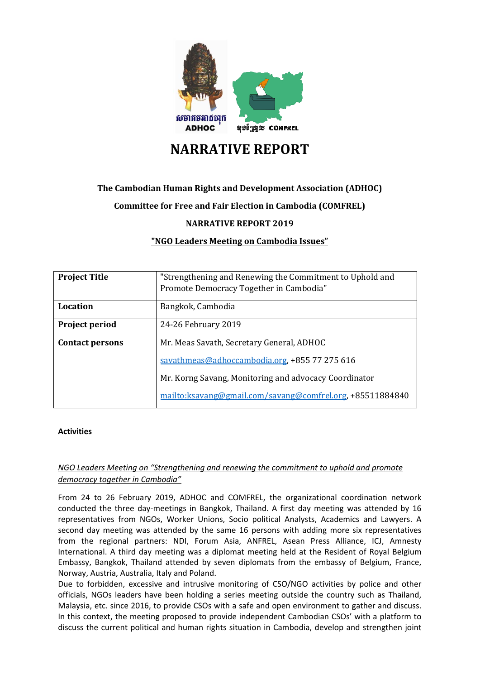

# **NARRATIVE REPORT**

# **The Cambodian Human Rights and Development Association (ADHOC)**

# **Committee for Free and Fair Election in Cambodia (COMFREL)**

**NARRATIVE REPORT 2019**

**"NGO Leaders Meeting on Cambodia Issues"**

| <b>Project Title</b>   | "Strengthening and Renewing the Commitment to Uphold and   |
|------------------------|------------------------------------------------------------|
|                        | Promote Democracy Together in Cambodia"                    |
| Location               | Bangkok, Cambodia                                          |
| Project period         | 24-26 February 2019                                        |
| <b>Contact persons</b> | Mr. Meas Savath, Secretary General, ADHOC                  |
|                        | savathmeas@adhoccambodia.org, +855 77 275 616              |
|                        | Mr. Korng Savang, Monitoring and advocacy Coordinator      |
|                        | mailto: ksavang@gmail.com/savang@comfrel.org, +85511884840 |

#### **Activities**

# *NGO Leaders Meeting on "Strengthening and renewing the commitment to uphold and promote democracy together in Cambodia"*

From 24 to 26 February 2019, ADHOC and COMFREL, the organizational coordination network conducted the three day-meetings in Bangkok, Thailand. A first day meeting was attended by 16 representatives from NGOs, Worker Unions, Socio political Analysts, Academics and Lawyers. A second day meeting was attended by the same 16 persons with adding more six representatives from the regional partners: NDI, Forum Asia, ANFREL, Asean Press Alliance, ICJ, Amnesty International. A third day meeting was a diplomat meeting held at the Resident of Royal Belgium Embassy, Bangkok, Thailand attended by seven diplomats from the embassy of Belgium, France, Norway, Austria, Australia, Italy and Poland.

Due to forbidden, excessive and intrusive monitoring of CSO/NGO activities by police and other officials, NGOs leaders have been holding a series meeting outside the country such as Thailand, Malaysia, etc. since 2016, to provide CSOs with a safe and open environment to gather and discuss. In this context, the meeting proposed to provide independent Cambodian CSOs' with a platform to discuss the current political and human rights situation in Cambodia, develop and strengthen joint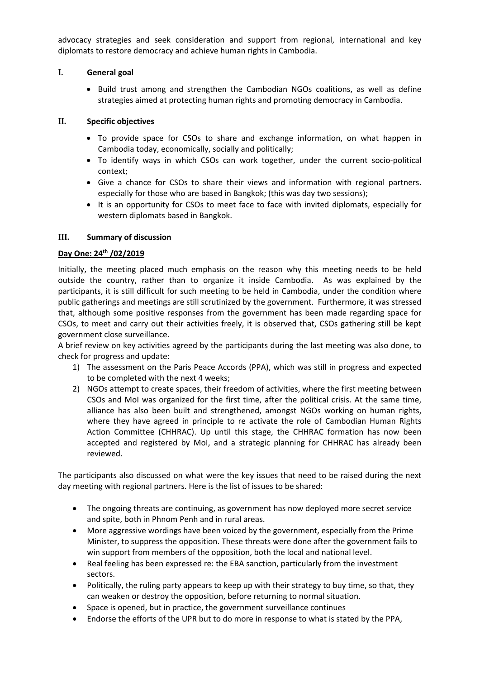advocacy strategies and seek consideration and support from regional, international and key diplomats to restore democracy and achieve human rights in Cambodia.

#### **I. General goal**

• Build trust among and strengthen the Cambodian NGOs coalitions, as well as define strategies aimed at protecting human rights and promoting democracy in Cambodia.

#### **II. Specific objectives**

- To provide space for CSOs to share and exchange information, on what happen in Cambodia today, economically, socially and politically;
- To identify ways in which CSOs can work together, under the current socio-political context;
- Give a chance for CSOs to share their views and information with regional partners. especially for those who are based in Bangkok; (this was day two sessions);
- It is an opportunity for CSOs to meet face to face with invited diplomats, especially for western diplomats based in Bangkok.

#### **III. Summary of discussion**

#### **Day One: 24th /02/2019**

Initially, the meeting placed much emphasis on the reason why this meeting needs to be held outside the country, rather than to organize it inside Cambodia. As was explained by the participants, it is still difficult for such meeting to be held in Cambodia, under the condition where public gatherings and meetings are still scrutinized by the government. Furthermore, it was stressed that, although some positive responses from the government has been made regarding space for CSOs, to meet and carry out their activities freely, it is observed that, CSOs gathering still be kept government close surveillance.

A brief review on key activities agreed by the participants during the last meeting was also done, to check for progress and update:

- 1) The assessment on the Paris Peace Accords (PPA), which was still in progress and expected to be completed with the next 4 weeks;
- 2) NGOs attempt to create spaces, their freedom of activities, where the first meeting between CSOs and MoI was organized for the first time, after the political crisis. At the same time, alliance has also been built and strengthened, amongst NGOs working on human rights, where they have agreed in principle to re activate the role of Cambodian Human Rights Action Committee (CHHRAC). Up until this stage, the CHHRAC formation has now been accepted and registered by MoI, and a strategic planning for CHHRAC has already been reviewed.

The participants also discussed on what were the key issues that need to be raised during the next day meeting with regional partners. Here is the list of issues to be shared:

- The ongoing threats are continuing, as government has now deployed more secret service and spite, both in Phnom Penh and in rural areas.
- More aggressive wordings have been voiced by the government, especially from the Prime Minister, to suppress the opposition. These threats were done after the government fails to win support from members of the opposition, both the local and national level.
- Real feeling has been expressed re: the EBA sanction, particularly from the investment sectors.
- Politically, the ruling party appears to keep up with their strategy to buy time, so that, they can weaken or destroy the opposition, before returning to normal situation.
- Space is opened, but in practice, the government surveillance continues
- Endorse the efforts of the UPR but to do more in response to what is stated by the PPA,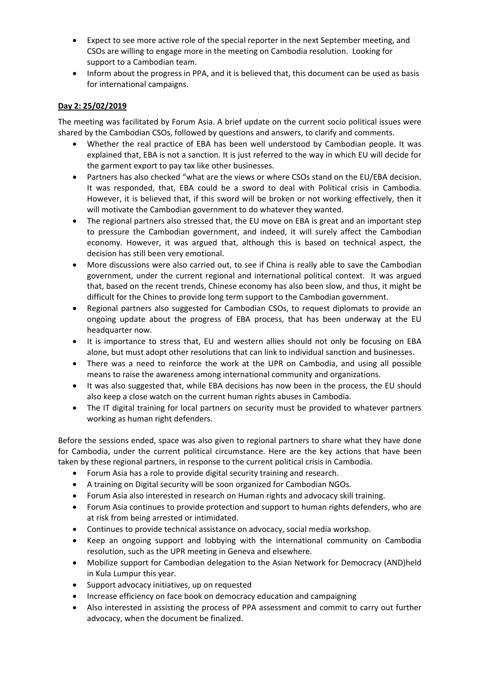- Expect to see more active role of the special reporter in the next September meeting, and CSOs are willing to engage more in the meeting on Cambodia resolution. Looking for support to a Cambodian team.
- Inform about the progress in PPA, and it is believed that, this document can be used as basis for international campaigns.

## **Day 2: 25/02/2019**

The meeting was facilitated by Forum Asia. A brief update on the current socio political issues were shared by the Cambodian CSOs, followed by questions and answers, to clarify and comments.

- Whether the real practice of EBA has been well understood by Cambodian people. It was explained that, EBA is not a sanction. It is just referred to the way in which EU will decide for the garment export to pay tax like other businesses.
- Partners has also checked "what are the views or where CSOs stand on the EU/EBA decision. It was responded, that, EBA could be a sword to deal with Political crisis in Cambodia. However, it is believed that, if this sword will be broken or not working effectively, then it will motivate the Cambodian government to do whatever they wanted.
- The regional partners also stressed that, the EU move on EBA is great and an important step to pressure the Cambodian government, and indeed, it will surely affect the Cambodian economy. However, it was argued that, although this is based on technical aspect, the decision has still been very emotional.
- More discussions were also carried out, to see if China is really able to save the Cambodian government, under the current regional and international political context. It was argued that, based on the recent trends, Chinese economy has also been slow, and thus, it might be difficult for the Chines to provide long term support to the Cambodian government.
- Regional partners also suggested for Cambodian CSOs, to request diplomats to provide an ongoing update about the progress of EBA process, that has been underway at the EU headquarter now.
- It is importance to stress that, EU and western allies should not only be focusing on EBA alone, but must adopt other resolutions that can link to individual sanction and businesses.
- There was a need to reinforce the work at the UPR on Cambodia, and using all possible means to raise the awareness among international community and organizations.
- It was also suggested that, while EBA decisions has now been in the process, the EU should also keep a close watch on the current human rights abuses in Cambodia.
- The IT digital training for local partners on security must be provided to whatever partners working as human right defenders.

Before the sessions ended, space was also given to regional partners to share what they have done for Cambodia, under the current political circumstance. Here are the key actions that have been taken by these regional partners, in response to the current political crisis in Cambodia.

- Forum Asia has a role to provide digital security training and research.
- A training on Digital security will be soon organized for Cambodian NGOs.
- Forum Asia also interested in research on Human rights and advocacy skill training.
- Forum Asia continues to provide protection and support to human rights defenders, who are at risk from being arrested or intimidated.
- Continues to provide technical assistance on advocacy, social media workshop.
- Keep an ongoing support and lobbying with the international community on Cambodia resolution, such as the UPR meeting in Geneva and elsewhere.
- Mobilize support for Cambodian delegation to the Asian Network for Democracy (AND)held in Kula Lumpur this year.
- Support advocacy initiatives, up on requested
- Increase efficiency on face book on democracy education and campaigning
- Also interested in assisting the process of PPA assessment and commit to carry out further advocacy, when the document be finalized.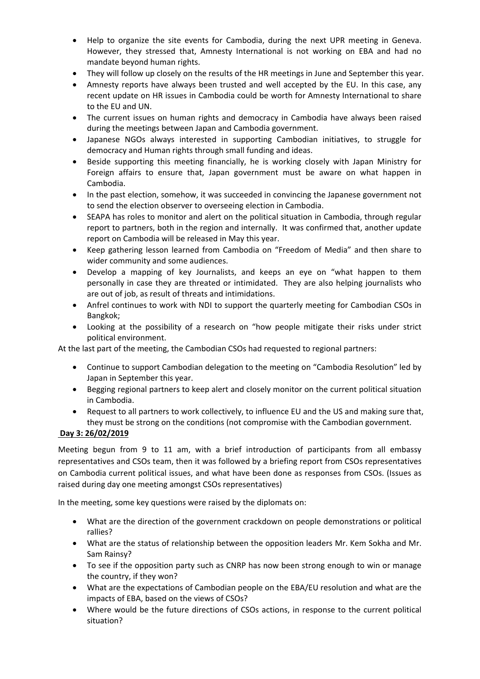- Help to organize the site events for Cambodia, during the next UPR meeting in Geneva. However, they stressed that, Amnesty International is not working on EBA and had no mandate beyond human rights.
- They will follow up closely on the results of the HR meetings in June and September this year.
- Amnesty reports have always been trusted and well accepted by the EU. In this case, any recent update on HR issues in Cambodia could be worth for Amnesty International to share to the EU and UN.
- The current issues on human rights and democracy in Cambodia have always been raised during the meetings between Japan and Cambodia government.
- Japanese NGOs always interested in supporting Cambodian initiatives, to struggle for democracy and Human rights through small funding and ideas.
- Beside supporting this meeting financially, he is working closely with Japan Ministry for Foreign affairs to ensure that, Japan government must be aware on what happen in Cambodia.
- In the past election, somehow, it was succeeded in convincing the Japanese government not to send the election observer to overseeing election in Cambodia.
- SEAPA has roles to monitor and alert on the political situation in Cambodia, through regular report to partners, both in the region and internally. It was confirmed that, another update report on Cambodia will be released in May this year.
- Keep gathering lesson learned from Cambodia on "Freedom of Media" and then share to wider community and some audiences.
- Develop a mapping of key Journalists, and keeps an eye on "what happen to them personally in case they are threated or intimidated. They are also helping journalists who are out of job, as result of threats and intimidations.
- Anfrel continues to work with NDI to support the quarterly meeting for Cambodian CSOs in Bangkok;
- Looking at the possibility of a research on "how people mitigate their risks under strict political environment.

At the last part of the meeting, the Cambodian CSOs had requested to regional partners:

- Continue to support Cambodian delegation to the meeting on "Cambodia Resolution" led by Japan in September this year.
- Begging regional partners to keep alert and closely monitor on the current political situation in Cambodia.
- Request to all partners to work collectively, to influence EU and the US and making sure that, they must be strong on the conditions (not compromise with the Cambodian government.

## **Day 3: 26/02/2019**

Meeting begun from 9 to 11 am, with a brief introduction of participants from all embassy representatives and CSOs team, then it was followed by a briefing report from CSOs representatives on Cambodia current political issues, and what have been done as responses from CSOs. (Issues as raised during day one meeting amongst CSOs representatives)

In the meeting, some key questions were raised by the diplomats on:

- What are the direction of the government crackdown on people demonstrations or political rallies?
- What are the status of relationship between the opposition leaders Mr. Kem Sokha and Mr. Sam Rainsy?
- To see if the opposition party such as CNRP has now been strong enough to win or manage the country, if they won?
- What are the expectations of Cambodian people on the EBA/EU resolution and what are the impacts of EBA, based on the views of CSOs?
- Where would be the future directions of CSOs actions, in response to the current political situation?